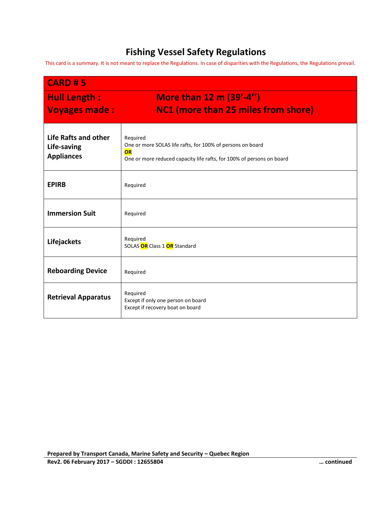## **Fishing Vessel Safety Regulations**

This card is a summary. It is not meant to replace the Regulations. In case of disparities with the Regulations, the Regulations prevail.

| <b>CARD #5</b>                                           |                                                                                                                                                       |  |  |
|----------------------------------------------------------|-------------------------------------------------------------------------------------------------------------------------------------------------------|--|--|
| <b>Hull Length:</b>                                      | <b>More than 12 m (39'-4")</b>                                                                                                                        |  |  |
| <b>Voyages made:</b>                                     | NC1 (more than 25 miles from shore)                                                                                                                   |  |  |
| Life Rafts and other<br>Life-saving<br><b>Appliances</b> | Required<br>One or more SOLAS life rafts, for 100% of persons on board<br>OR<br>One or more reduced capacity life rafts, for 100% of persons on board |  |  |
| <b>EPIRB</b>                                             | Required                                                                                                                                              |  |  |
| <b>Immersion Suit</b>                                    | Required                                                                                                                                              |  |  |
| Lifejackets                                              | Required<br>SOLAS OR Class 1 OR Standard                                                                                                              |  |  |
| <b>Reboarding Device</b>                                 | Required                                                                                                                                              |  |  |
| <b>Retrieval Apparatus</b>                               | Required<br>Except if only one person on board<br>Except if recovery boat on board                                                                    |  |  |

**Prepared by Transport Canada, Marine Safety and Security – Quebec Region**